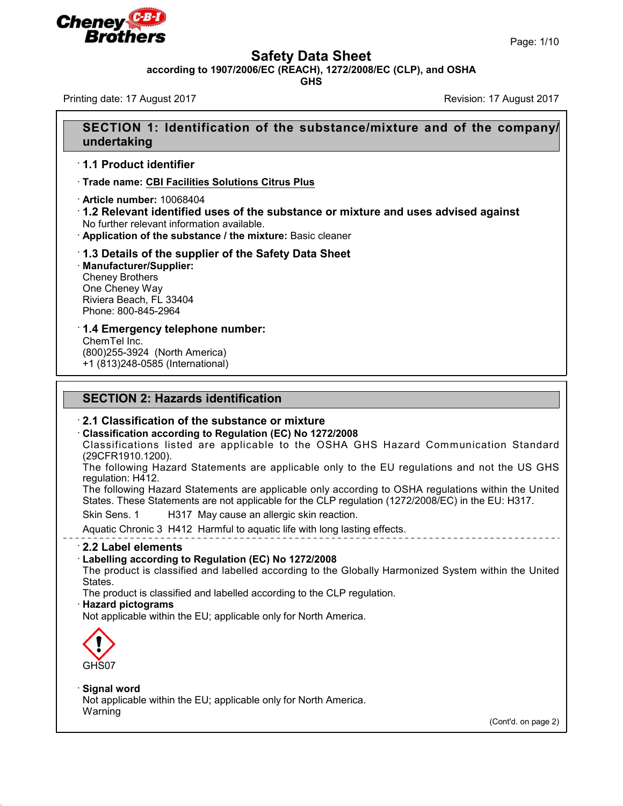



## **Safety Data Sheet**

**according to 1907/2006/EC (REACH), 1272/2008/EC (CLP), and OSHA**

**GHS**

Printing date: 17 August 2017 Revision: 17 August 2017

# **SECTION 1: Identification of the substance/mixture and of the company/ undertaking**

## · **1.1 Product identifier**

· **Trade name: CBI Facilities Solutions Citrus Plus**

· **Article number:** 10068404

· **1.2 Relevant identified uses of the substance or mixture and uses advised against** No further relevant information available.

· **Application of the substance / the mixture:** Basic cleaner

### · **1.3 Details of the supplier of the Safety Data Sheet**

· **Manufacturer/Supplier:** Cheney Brothers One Cheney Way Riviera Beach, FL 33404 Phone: 800-845-2964

· **1.4 Emergency telephone number:** ChemTel Inc.

(800)255-3924 (North America) +1 (813)248-0585 (International)

# **SECTION 2: Hazards identification**

### · **2.1 Classification of the substance or mixture**

· **Classification according to Regulation (EC) No 1272/2008**

Classifications listed are applicable to the OSHA GHS Hazard Communication Standard (29CFR1910.1200).

The following Hazard Statements are applicable only to the EU regulations and not the US GHS regulation: H412.

The following Hazard Statements are applicable only according to OSHA regulations within the United States. These Statements are not applicable for the CLP regulation (1272/2008/EC) in the EU: H317.

Skin Sens. 1 H317 May cause an allergic skin reaction.

Aquatic Chronic 3 H412 Harmful to aquatic life with long lasting effects.

### · **2.2 Label elements**

### · **Labelling according to Regulation (EC) No 1272/2008**

The product is classified and labelled according to the Globally Harmonized System within the United States.

The product is classified and labelled according to the CLP regulation.

#### · **Hazard pictograms**

Not applicable within the EU; applicable only for North America.



45.2.2

### · **Signal word**

Not applicable within the EU; applicable only for North America. Warning

(Cont'd. on page 2)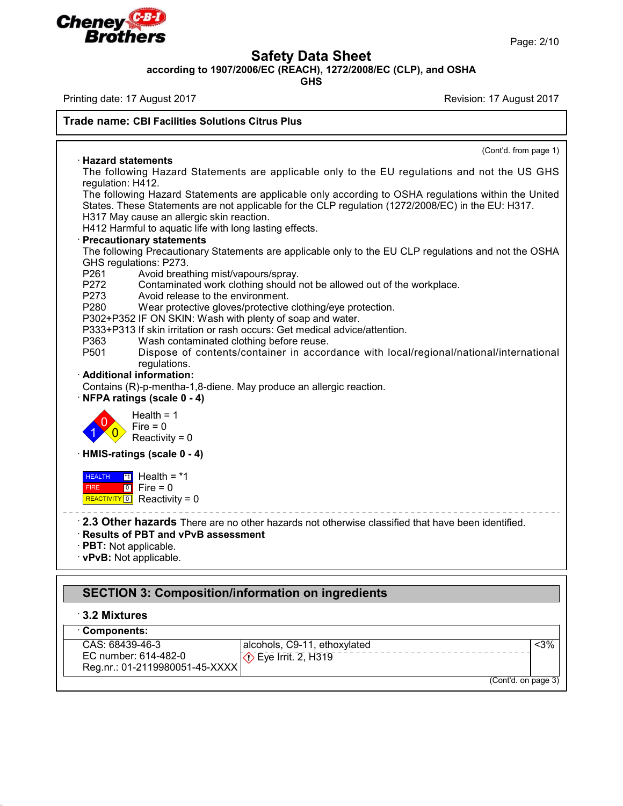

Page: 2/10

## **Safety Data Sheet**

**according to 1907/2006/EC (REACH), 1272/2008/EC (CLP), and OSHA**

**GHS**

Printing date: 17 August 2017 Revision: 17 August 2017

### **Trade name: CBI Facilities Solutions Citrus Plus**

(Cont'd. from page 1) · **Hazard statements** The following Hazard Statements are applicable only to the EU regulations and not the US GHS regulation: H412. The following Hazard Statements are applicable only according to OSHA regulations within the United States. These Statements are not applicable for the CLP regulation (1272/2008/EC) in the EU: H317. H317 May cause an allergic skin reaction. H412 Harmful to aquatic life with long lasting effects. · **Precautionary statements** The following Precautionary Statements are applicable only to the EU CLP regulations and not the OSHA GHS regulations: P273. P261 Avoid breathing mist/vapours/spray.<br>P272 Contaminated work clothing should P272 Contaminated work clothing should not be allowed out of the workplace.<br>P273 Avoid release to the environment. P273 Avoid release to the environment.<br>P280 Wear protective gloves/protective Wear protective gloves/protective clothing/eye protection. P302+P352 IF ON SKIN: Wash with plenty of soap and water. P333+P313 If skin irritation or rash occurs: Get medical advice/attention. P363 Wash contaminated clothing before reuse.<br>P501 Dispose of contents/container in accor Dispose of contents/container in accordance with local/regional/national/international regulations. · **Additional information:** Contains (R)-p-mentha-1,8-diene. May produce an allergic reaction. · **NFPA ratings (scale 0 - 4)** Health  $= 1$  $\sum_{n=1}^{\infty}$  Fire = 0  $\frac{1}{\sqrt{0}}$  Reactivity = 0 · **HMIS-ratings (scale 0 - 4)** REACTIVITY <sup>0</sup> Health <sup>=</sup> \*1 Reactivity = 0 **HEALTH** <sup>\*1</sup> Hea FIRE 0 Fire = 0 . \_ \_ \_ \_ \_ \_ \_ \_ \_ \_ \_ \_ \_ \_ \_ \_ \_ · **2.3 Other hazards** There are no other hazards not otherwise classified that have been identified. · **Results of PBT and vPvB assessment** · **PBT:** Not applicable.

· **vPvB:** Not applicable.

# **SECTION 3: Composition/information on ingredients**

## · **3.2 Mixtures**

45.2.2

| Components:                    |                                 |     |
|--------------------------------|---------------------------------|-----|
| CAS: 68439-46-3                | l alcohols. C9-11. ethoxylated. | <3% |
| EC number: 614-482-0           | $\Diamond$ Eye Irrit. 2, H319   |     |
| Reg.nr.: 01-2119980051-45-XXXX |                                 |     |
| (Cont'd. on page 3)            |                                 |     |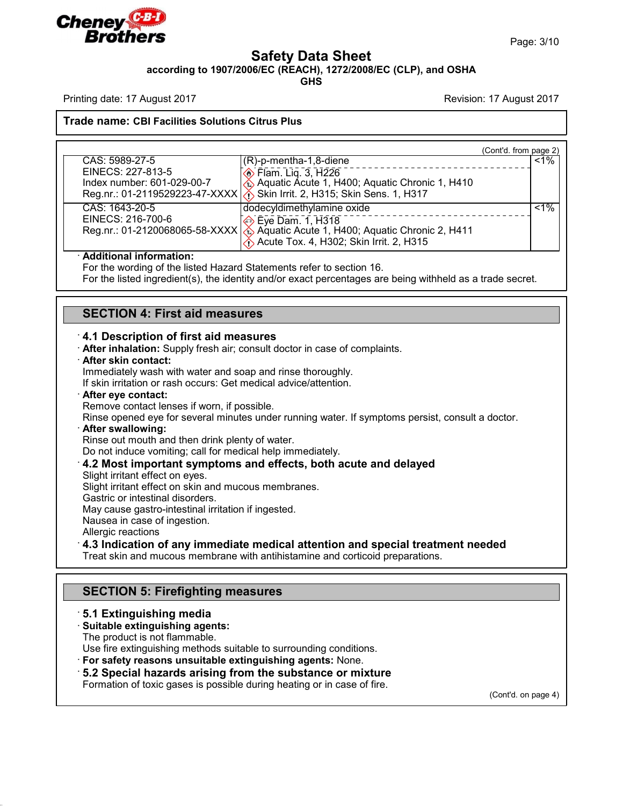

Page: 3/10

# **Safety Data Sheet**

**according to 1907/2006/EC (REACH), 1272/2008/EC (CLP), and OSHA**

**GHS**

Printing date: 17 August 2017 Revision: 17 August 2017

### **Trade name: CBI Facilities Solutions Citrus Plus**

|                            |                                                                                   | (Cont'd. from page 2) |
|----------------------------|-----------------------------------------------------------------------------------|-----------------------|
| CAS: 5989-27-5             | $(R)$ -p-mentha-1,8-diene                                                         | $< 1\%$               |
| EINECS: 227-813-5          | <b>♦ Flam. Lig. 3, H226</b>                                                       |                       |
| Index number: 601-029-00-7 | Aquatic Acute 1, H400; Aquatic Chronic 1, H410                                    |                       |
|                            | Reg.nr.: 01-2119529223-47-XXXX \\ 3 Skin Irrit. 2, H315; Skin Sens. 1, H317       |                       |
| CAS: 1643-20-5             | dodecyldimethylamine oxide                                                        | $< 1\%$               |
| EINECS: 216-700-6          | Eye Dam. 1, H318                                                                  |                       |
|                            | Reg.nr.: 01-2120068065-58-XXXX   & Aquatic Acute 1, H400; Aquatic Chronic 2, H411 |                       |
|                            | Acute Tox. 4, H302; Skin Irrit. 2, H315                                           |                       |

### · **Additional information:**

For the wording of the listed Hazard Statements refer to section 16.

For the listed ingredient(s), the identity and/or exact percentages are being withheld as a trade secret.

## **SECTION 4: First aid measures**

### · **4.1 Description of first aid measures**

· **After inhalation:** Supply fresh air; consult doctor in case of complaints.

#### · **After skin contact:**

Immediately wash with water and soap and rinse thoroughly.

If skin irritation or rash occurs: Get medical advice/attention.

### · **After eye contact:**

Remove contact lenses if worn, if possible.

Rinse opened eye for several minutes under running water. If symptoms persist, consult a doctor.

#### · **After swallowing:**

Rinse out mouth and then drink plenty of water.

Do not induce vomiting; call for medical help immediately.

### · **4.2 Most important symptoms and effects, both acute and delayed**

Slight irritant effect on eyes.

Slight irritant effect on skin and mucous membranes.

Gastric or intestinal disorders.

May cause gastro-intestinal irritation if ingested.

Nausea in case of ingestion.

Allergic reactions

45.2.2

## · **4.3 Indication of any immediate medical attention and special treatment needed**

Treat skin and mucous membrane with antihistamine and corticoid preparations.

# **SECTION 5: Firefighting measures**

### · **5.1 Extinguishing media**

### · **Suitable extinguishing agents:**

The product is not flammable.

Use fire extinguishing methods suitable to surrounding conditions.

· **For safety reasons unsuitable extinguishing agents:** None.

## · **5.2 Special hazards arising from the substance ormixture**

Formation of toxic gases is possible during heating or in case of fire.

(Cont'd. on page 4)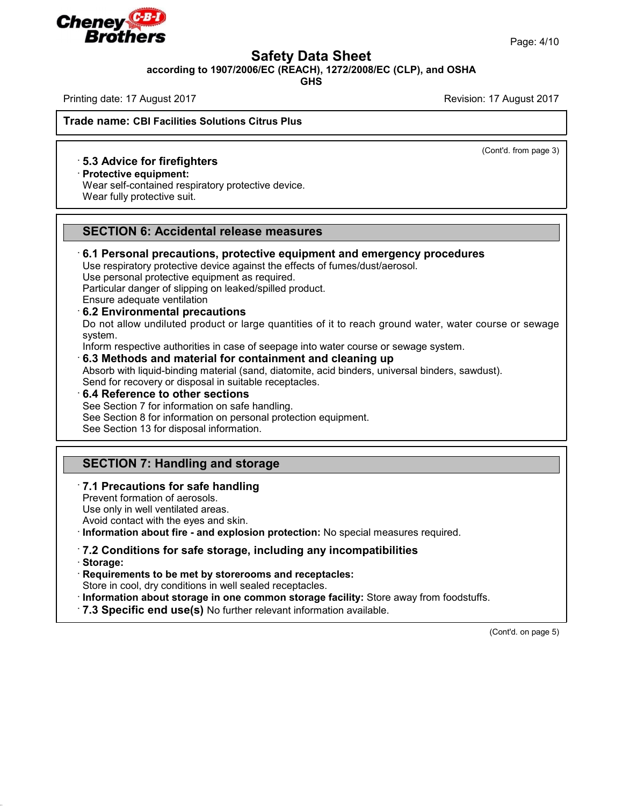

## **Safety Data Sheet**

**according to 1907/2006/EC (REACH), 1272/2008/EC (CLP), and OSHA**

**GHS**

Printing date: 17 August 2017 Revision: 17 August 2017

(Cont'd. from page 3)

**Trade name: CBI Facilities Solutions Citrus Plus**

### · **5.3 Advice for firefighters**

· **Protective equipment:**

Wear self-contained respiratory protective device. Wear fully protective suit.

## **SECTION 6: Accidental release measures**

## · **6.1 Personal precautions, protective equipment and emergency procedures**

Use respiratory protective device against the effects of fumes/dust/aerosol.

Use personal protective equipment as required.

Particular danger of slipping on leaked/spilled product.

Ensure adequate ventilation

### · **6.2 Environmental precautions**

Do not allow undiluted product or large quantities of it to reach ground water, water course or sewage system.

Inform respective authorities in case of seepage into water course or sewage system.

### · **6.3 Methods and material for containment and cleaning up**

Absorb with liquid-binding material (sand, diatomite, acid binders, universal binders, sawdust). Send for recovery or disposal in suitable receptacles.

· **6.4 Reference to other sections**

See Section 7 for information on safe handling.

See Section 8 for information on personal protection equipment.

See Section 13 for disposal information.

## **SECTION 7: Handling and storage**

## · **7.1 Precautions for safe handling**

Prevent formation of aerosols.

45.2.2

Use only in well ventilated areas.

Avoid contact with the eyes and skin.

· **Information about fire - and explosion protection:** No special measures required.

#### · **7.2 Conditions for safe storage, including any incompatibilities** · **Storage:**

· **Requirements to be met by storerooms and receptacles:**

Store in cool, dry conditions in well sealed receptacles.

· **Information about storage in one common storage facility:** Store away from foodstuffs.

· **7.3 Specific end use(s)** No further relevant information available.

(Cont'd. on page 5)

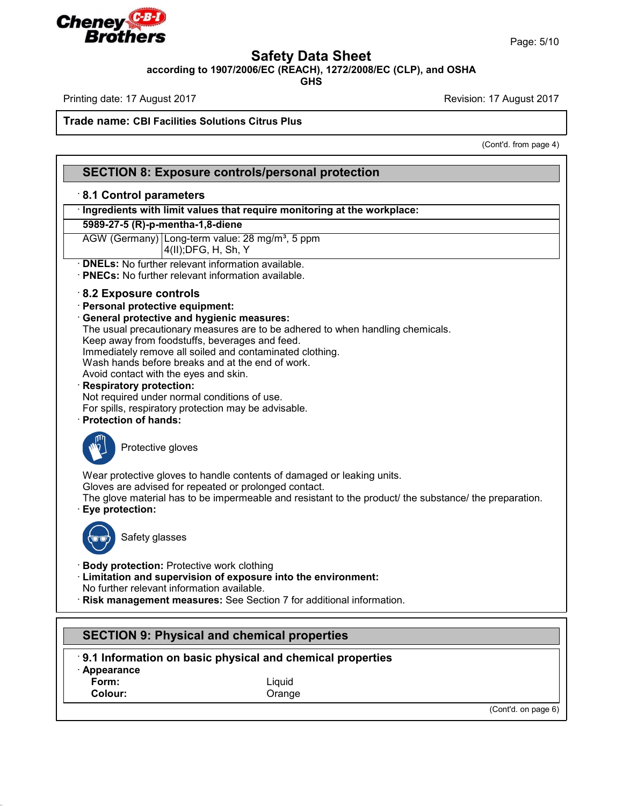

Page: 5/10

# **Safety Data Sheet**

**according to 1907/2006/EC (REACH), 1272/2008/EC (CLP), and OSHA**

**GHS**

Printing date: 17 August 2017 **Printing date: 17 August 2017** 

**Trade name: CBI Facilities Solutions Citrus Plus**

(Cont'd. from page 4)

| <b>SECTION 8: Exposure controls/personal protection</b>                                                                   |  |  |  |                                                                                     |
|---------------------------------------------------------------------------------------------------------------------------|--|--|--|-------------------------------------------------------------------------------------|
| 8.1 Control parameters                                                                                                    |  |  |  |                                                                                     |
| · Ingredients with limit values that require monitoring at the workplace:<br>5989-27-5 (R)-p-mentha-1,8-diene             |  |  |  |                                                                                     |
|                                                                                                                           |  |  |  | AGW (Germany) Long-term value: 28 mg/m <sup>3</sup> , 5 ppm<br>4(II); DFG, H, Sh, Y |
| · <b>DNELs:</b> No further relevant information available.<br>· PNECs: No further relevant information available.         |  |  |  |                                                                                     |
| $\cdot$ 8.2 Exposure controls<br>· Personal protective equipment:                                                         |  |  |  |                                                                                     |
| · General protective and hygienic measures:                                                                               |  |  |  |                                                                                     |
| The usual precautionary measures are to be adhered to when handling chemicals.                                            |  |  |  |                                                                                     |
| Keep away from foodstuffs, beverages and feed.<br>Immediately remove all soiled and contaminated clothing.                |  |  |  |                                                                                     |
| Wash hands before breaks and at the end of work.                                                                          |  |  |  |                                                                                     |
| Avoid contact with the eyes and skin.                                                                                     |  |  |  |                                                                                     |
| <b>Respiratory protection:</b>                                                                                            |  |  |  |                                                                                     |
| Not required under normal conditions of use.<br>For spills, respiratory protection may be advisable.                      |  |  |  |                                                                                     |
| <b>Protection of hands:</b>                                                                                               |  |  |  |                                                                                     |
| Protective gloves                                                                                                         |  |  |  |                                                                                     |
| Wear protective gloves to handle contents of damaged or leaking units.                                                    |  |  |  |                                                                                     |
| Gloves are advised for repeated or prolonged contact.                                                                     |  |  |  |                                                                                     |
| The glove material has to be impermeable and resistant to the product/ the substance/ the preparation.<br>Eye protection: |  |  |  |                                                                                     |
| Safety glasses                                                                                                            |  |  |  |                                                                                     |
| <b>Body protection: Protective work clothing</b>                                                                          |  |  |  |                                                                                     |
| · Limitation and supervision of exposure into the environment:                                                            |  |  |  |                                                                                     |
| No further relevant information available.<br>Risk management measures: See Section 7 for additional information.         |  |  |  |                                                                                     |
|                                                                                                                           |  |  |  |                                                                                     |
| <b>SECTION 9: Physical and chemical properties</b>                                                                        |  |  |  |                                                                                     |
|                                                                                                                           |  |  |  |                                                                                     |
| 9.1 Information on basic physical and chemical properties                                                                 |  |  |  |                                                                                     |

· **Appearance**

45.2.2

**Form:** Liquid<br> **Colour:** Colour: Colour: Crange **Colour:** Orange

(Cont'd. on page 6)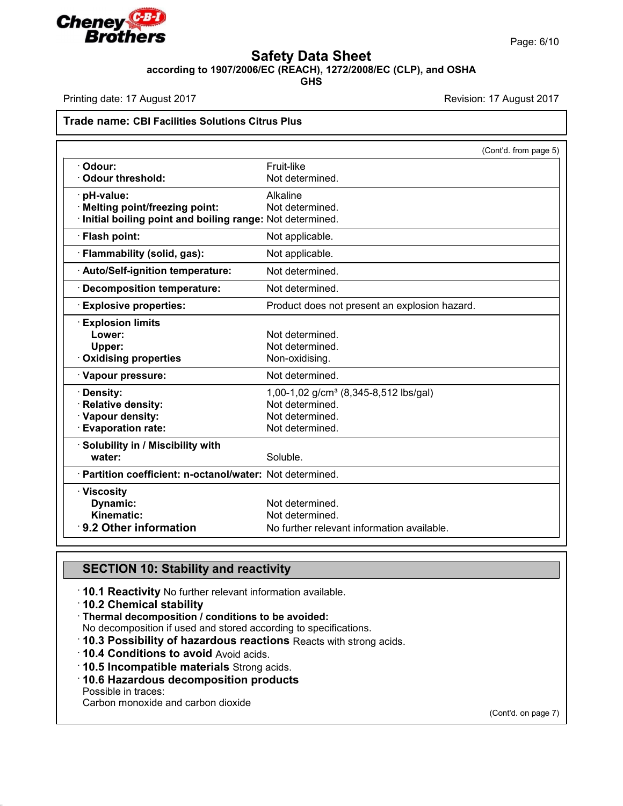

## **Safety Data Sheet**

**according to 1907/2006/EC (REACH), 1272/2008/EC (CLP), and OSHA**

**GHS**

Printing date: 17 August 2017 **Printing date: 17 August 2017** Revision: 17 August 2017

### **Trade name: CBI Facilities Solutions Citrus Plus**

|                                                           | (Cont'd. from page 5)                             |
|-----------------------------------------------------------|---------------------------------------------------|
| Odour:                                                    | Fruit-like                                        |
| <b>Odour threshold:</b>                                   | Not determined.                                   |
| pH-value:                                                 | Alkaline                                          |
| <b>Melting point/freezing point:</b>                      | Not determined.                                   |
| Initial boiling point and boiling range: Not determined.  |                                                   |
| · Flash point:                                            | Not applicable.                                   |
| · Flammability (solid, gas):                              | Not applicable.                                   |
| <b>Auto/Self-ignition temperature:</b>                    | Not determined.                                   |
| <b>Decomposition temperature:</b>                         | Not determined.                                   |
| <b>Explosive properties:</b>                              | Product does not present an explosion hazard.     |
| <b>Explosion limits</b>                                   |                                                   |
| Lower:                                                    | Not determined.                                   |
| Upper:                                                    | Not determined.                                   |
| <b>Oxidising properties</b>                               | Non-oxidising.                                    |
| · Vapour pressure:                                        | Not determined.                                   |
| Density:                                                  | 1,00-1,02 g/cm <sup>3</sup> (8,345-8,512 lbs/gal) |
| <b>Relative density:</b>                                  | Not determined.                                   |
| Vapour density:                                           | Not determined.                                   |
| <b>Evaporation rate:</b>                                  | Not determined.                                   |
| Solubility in / Miscibility with                          |                                                   |
| water:                                                    | Soluble.                                          |
| · Partition coefficient: n-octanol/water: Not determined. |                                                   |
| · Viscosity                                               |                                                   |
| Dynamic:                                                  | Not determined.                                   |
| Kinematic:                                                | Not determined.                                   |
| 9.2 Other information                                     | No further relevant information available.        |

# **SECTION 10: Stability and reactivity**

· **10.1 Reactivity** No further relevant information available.

- · **10.2 Chemical stability**
- · **Thermal decomposition / conditions to be avoided:**

No decomposition if used and stored according to specifications.

- · **10.3 Possibility of hazardous reactions** Reacts with strong acids.
- · **10.4 Conditions to avoid** Avoid acids.
- · **10.5 Incompatible materials** Strong acids.
- · **10.6 Hazardous decomposition products**

Possible in traces:

45.2.2

Carbon monoxide and carbon dioxide

(Cont'd. on page 7)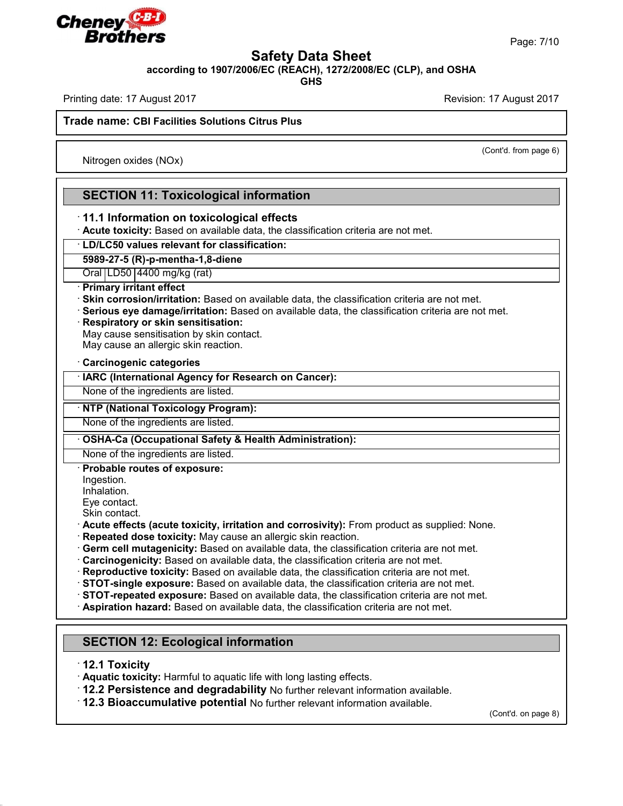

Page: 7/10

## **Safety Data Sheet**

**according to 1907/2006/EC (REACH), 1272/2008/EC (CLP), and OSHA**

**GHS**

Printing date: 17 August 2017 Revision: 17 August 2017

**Trade name: CBI Facilities Solutions Citrus Plus**

Nitrogen oxides (NOx)

(Cont'd. from page 6)

# **SECTION 11: Toxicological information**

## · **11.1 Information on toxicological effects**

· **Acute toxicity:** Based on available data, the classification criteria are not met.

· **LD/LC50 values relevant for classification:**

### **5989-27-5 (R)-p-mentha-1,8-diene**

Oral LD50 4400 mg/kg (rat)

### · **Primary irritant effect**

· **Skin corrosion/irritation:** Based on available data, the classification criteria are not met.

· **Serious eye damage/irritation:** Based on available data, the classification criteria are not met.

### · **Respiratory or skin sensitisation:**

May cause sensitisation by skin contact.

May cause an allergic skin reaction.

#### · **Carcinogenic categories**

· **IARC (International Agency for Research on Cancer):**

None of the ingredients are listed.

### · **NTP (National Toxicology Program):**

None of the ingredients are listed.

### · **OSHA-Ca (Occupational Safety & Health Administration):**

None of the ingredients are listed.

### · **Probable routes of exposure:**

Ingestion.

Inhalation.

Eye contact.

- Skin contact.
- · **Acute effects (acute toxicity, irritation and corrosivity):** From product as supplied: None.
- · **Repeated dose toxicity:** May cause an allergic skin reaction.
- · **Germ cell mutagenicity:** Based on available data, the classification criteria are not met.
- · **Carcinogenicity:** Based on available data, the classification criteria are not met.
- · **Reproductive toxicity:** Based on available data, the classification criteria are not met.
- · **STOT-single exposure:** Based on available data, the classification criteria are not met.
- · **STOT-repeated exposure:** Based on available data, the classification criteria are not met.
- · **Aspiration hazard:** Based on available data, the classification criteria are not met.

# **SECTION 12: Ecological information**

· **12.1 Toxicity**

45.2.2

· **Aquatic toxicity:** Harmful to aquatic life with long lasting effects.

· **12.2 Persistence and degradability** No further relevant information available.

· **12.3 Bioaccumulative potential** No further relevant information available.

(Cont'd. on page 8)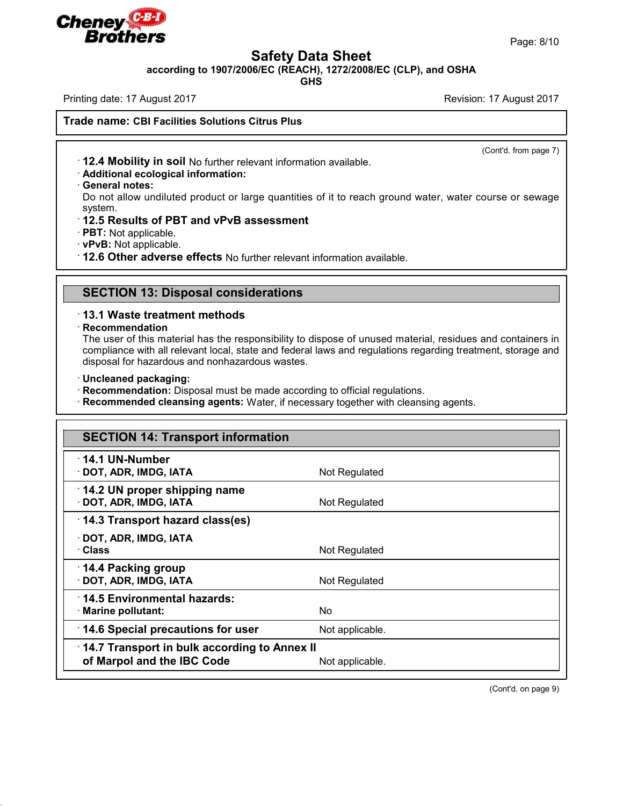

Page: 8/10

# **Safety Data Sheet**

**according to 1907/2006/EC (REACH), 1272/2008/EC (CLP), and OSHA**

**GHS**

Printing date: 17 August 2017 **Revision: 17 August 2017** Revision: 17 August 2017

**Trade name: CBI Facilities Solutions Citrus Plus**

(Cont'd. from page 7)

· **12.4 Mobility in soil** No further relevant information available.

- · **Additional ecological information:**
- · **General notes:**

Do not allow undiluted product or large quantities of it to reach ground water, water course or sewage system.

- · **12.5 Results of PBT and vPvB assessment**
- · **PBT:** Not applicable.
- · **vPvB:** Not applicable.

· **12.6 Other adverse effects** No further relevant information available.

## **SECTION 13: Disposal considerations**

## · **13.1 Waste treatment methods**

### · **Recommendation**

45.2.2

The user of this material has the responsibility to dispose of unused material, residues and containers in compliance with all relevant local, state and federal laws and regulations regarding treatment, storage and disposal for hazardous and nonhazardous wastes.

- · **Uncleaned packaging:**
- · **Recommendation:** Disposal must be made according to official regulations.

· **Recommended cleansing agents:** Water, if necessary together with cleansing agents.

| <b>SECTION 14: Transport information</b>               |                 |  |
|--------------------------------------------------------|-----------------|--|
| $\cdot$ 14.1 UN-Number<br>$\cdot$ DOT, ADR, IMDG, IATA | Not Regulated   |  |
| 14.2 UN proper shipping name<br>· DOT, ADR, IMDG, IATA | Not Regulated   |  |
| 14.3 Transport hazard class(es)                        |                 |  |
| $\cdot$ DOT, ADR, IMDG, IATA<br>· Class                | Not Regulated   |  |
| 14.4 Packing group<br>· DOT, ADR, IMDG, IATA           | Not Regulated   |  |
| 14.5 Environmental hazards:<br>· Marine pollutant:     | No.             |  |
| 14.6 Special precautions for user                      | Not applicable. |  |
| 14.7 Transport in bulk according to Annex II           |                 |  |
| of Marpol and the IBC Code                             | Not applicable. |  |

(Cont'd. on page 9)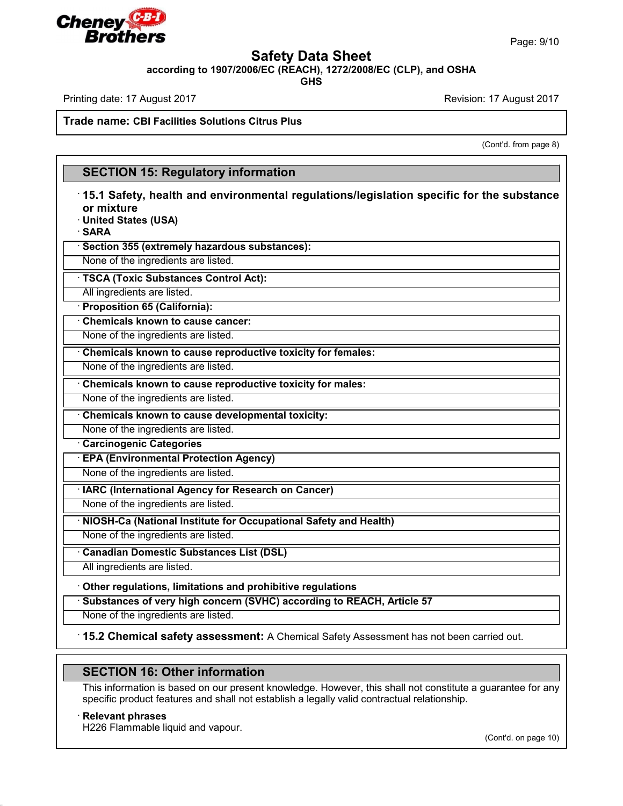

Page: 9/10

# **Safety Data Sheet**

**according to 1907/2006/EC (REACH), 1272/2008/EC (CLP), and OSHA**

**GHS**

Printing date: 17 August 2017 Revision: 17 August 2017

**Trade name: CBI Facilities Solutions Citrus Plus**

(Cont'd. from page 8)

# **SECTION 15: Regulatory information**

# · **15.1 Safety, health and environmental regulations/legislation specific for the substance or mixture**

· **United States (USA)**

· **SARA**

· **Section 355 (extremely hazardous substances):**

None of the ingredients are listed.

· **TSCA (Toxic Substances Control Act):**

All ingredients are listed.

· **Proposition 65 (California):**

· **Chemicals known to cause cancer:**

None of the ingredients are listed.

· **Chemicals known to cause reproductive toxicity for females:**

None of the ingredients are listed.

· **Chemicals known to cause reproductive toxicity for males:**

None of the ingredients are listed.

· **Chemicals known to cause developmental toxicity:**

None of the ingredients are listed.

· **Carcinogenic Categories**

· **EPA (Environmental Protection Agency)**

None of the ingredients are listed.

· **IARC (International Agency for Research on Cancer)**

None of the ingredients are listed.

· **NIOSH-Ca (National Institute for Occupational Safety and Health)**

None of the ingredients are listed.

· **Canadian Domestic Substances List (DSL)**

All ingredients are listed.

· **Other regulations, limitations and prohibitive regulations**

· **Substances of very high concern (SVHC) according to REACH, Article 57**

None of the ingredients are listed.

· **15.2 Chemical safety assessment:** A Chemical Safety Assessment has not been carried out.

# **SECTION 16: Other information**

This information is based on our present knowledge. However, this shall not constitute a guarantee for any specific product features and shall not establish a legally valid contractual relationship.

### · **Relevant phrases**

45.2.2

H226 Flammable liquid and vapour.